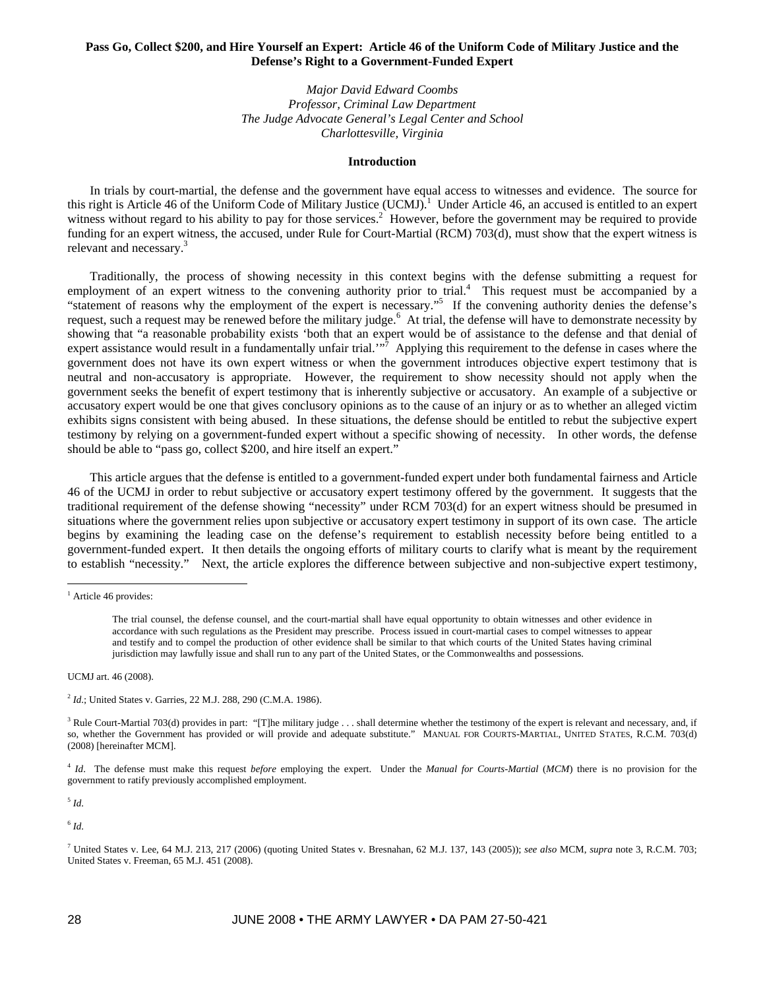# **Pass Go, Collect \$200, and Hire Yourself an Expert: Article 46 of the Uniform Code of Military Justice and the Defense's Right to a Government-Funded Expert**

*Major David Edward Coombs Professor, Criminal Law Department The Judge Advocate General's Legal Center and School Charlottesville, Virginia* 

### **Introduction**

In trials by court-martial, the defense and the government have equal access to witnesses and evidence. The source for this right is Article 46 of the Uniform Code of Military Justice (UCMJ).<sup>1</sup> Under Article 46, an accused is entitled to an expert witness without regard to his ability to pay for those services.<sup>2</sup> However, before the government may be required to provide funding for an expert witness, the accused, under Rule for Court-Martial (RCM) 703(d), must show that the expert witness is relevant and necessary.<sup>3</sup>

Traditionally, the process of showing necessity in this context begins with the defense submitting a request for employment of an expert witness to the convening authority prior to trial.<sup>4</sup> This request must be accompanied by a "statement of reasons why the employment of the expert is necessary."<sup>5</sup> If the convening authority denies the defense's request, such a request may be renewed before the military judge.<sup>6</sup> At trial, the defense will have to demonstrate necessity by showing that "a reasonable probability exists 'both that an expert would be of assistance to the defense and that denial of expert assistance would result in a fundamentally unfair trial.<sup>"  $\bar{7}$ </sup> Applying this requirement to the defense in cases where the government does not have its own expert witness or when the government introduces objective expert testimony that is neutral and non-accusatory is appropriate. However, the requirement to show necessity should not apply when the government seeks the benefit of expert testimony that is inherently subjective or accusatory. An example of a subjective or accusatory expert would be one that gives conclusory opinions as to the cause of an injury or as to whether an alleged victim exhibits signs consistent with being abused. In these situations, the defense should be entitled to rebut the subjective expert testimony by relying on a government-funded expert without a specific showing of necessity. In other words, the defense should be able to "pass go, collect \$200, and hire itself an expert."

This article argues that the defense is entitled to a government-funded expert under both fundamental fairness and Article 46 of the UCMJ in order to rebut subjective or accusatory expert testimony offered by the government. It suggests that the traditional requirement of the defense showing "necessity" under RCM 703(d) for an expert witness should be presumed in situations where the government relies upon subjective or accusatory expert testimony in support of its own case. The article begins by examining the leading case on the defense's requirement to establish necessity before being entitled to a government-funded expert. It then details the ongoing efforts of military courts to clarify what is meant by the requirement to establish "necessity." Next, the article explores the difference between subjective and non-subjective expert testimony,

 $\overline{a}$ 

UCMJ art. 46 (2008).

<sup>2</sup> *Id*.; United States v. Garries, 22 M.J. 288, 290 (C.M.A. 1986).

<sup>5</sup> *Id*.

 $^6$   $\mathit{Id}.$ 

<sup>&</sup>lt;sup>1</sup> Article 46 provides:

The trial counsel, the defense counsel, and the court-martial shall have equal opportunity to obtain witnesses and other evidence in accordance with such regulations as the President may prescribe. Process issued in court-martial cases to compel witnesses to appear and testify and to compel the production of other evidence shall be similar to that which courts of the United States having criminal jurisdiction may lawfully issue and shall run to any part of the United States, or the Commonwealths and possessions.

 $3$  Rule Court-Martial 703(d) provides in part: "[T]he military judge . . . shall determine whether the testimony of the expert is relevant and necessary, and, if so, whether the Government has provided or will provide and adequate substitute." MANUAL FOR COURTS-MARTIAL, UNITED STATES, R.C.M. 703(d) (2008) [hereinafter MCM].

<sup>4</sup> *Id*. The defense must make this request *before* employing the expert. Under the *Manual for Courts-Martial* (*MCM*) there is no provision for the government to ratify previously accomplished employment.

<sup>7</sup> United States v. Lee, 64 M.J. 213, 217 (2006) (quoting United States v. Bresnahan, 62 M.J. 137, 143 (2005)); *see also* MCM, *supra* note 3, R.C.M. 703; United States v. Freeman, 65 M.J. 451 (2008).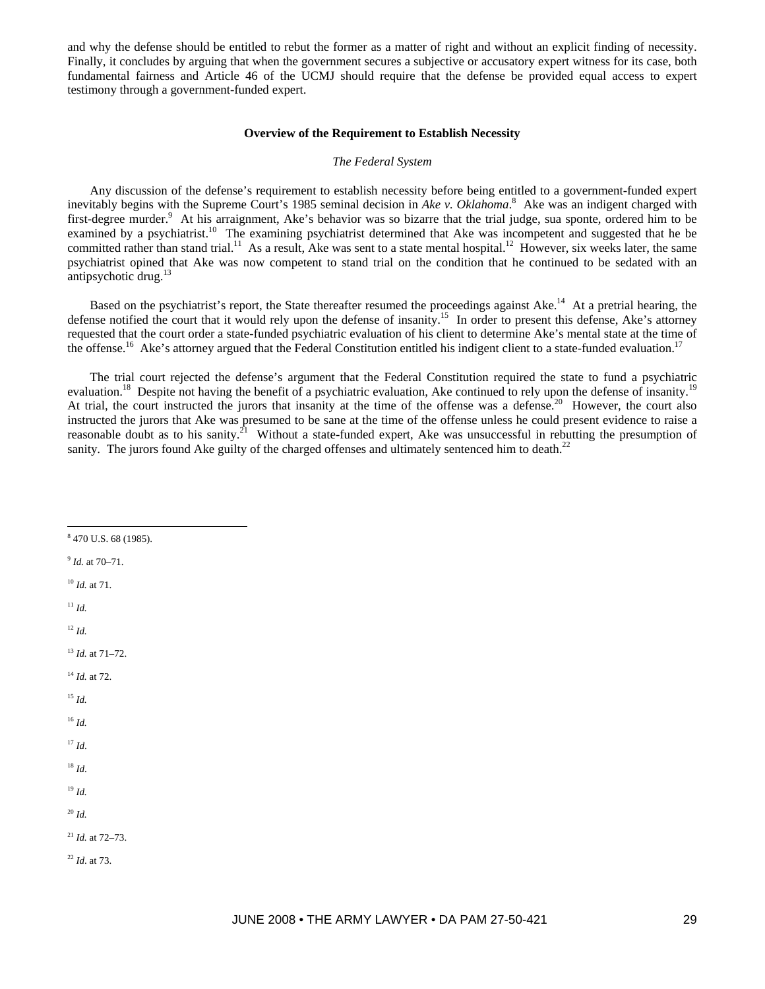and why the defense should be entitled to rebut the former as a matter of right and without an explicit finding of necessity. Finally, it concludes by arguing that when the government secures a subjective or accusatory expert witness for its case, both fundamental fairness and Article 46 of the UCMJ should require that the defense be provided equal access to expert testimony through a government-funded expert.

#### **Overview of the Requirement to Establish Necessity**

### *The Federal System*

Any discussion of the defense's requirement to establish necessity before being entitled to a government-funded expert inevitably begins with the Supreme Court's 1985 seminal decision in *Ake v. Oklahoma*. 8 Ake was an indigent charged with first-degree murder.<sup>9</sup> At his arraignment, Ake's behavior was so bizarre that the trial judge, sua sponte, ordered him to be examined by a psychiatrist.<sup>10</sup> The examining psychiatrist determined that Ake was incompetent and suggested that he be committed rather than stand trial.<sup>11</sup> As a result, Ake was sent to a state mental hospital.<sup>12</sup> However, six weeks later, the same psychiatrist opined that Ake was now competent to stand trial on the condition that he continued to be sedated with an antipsychotic drug.<sup>13</sup>

Based on the psychiatrist's report, the State thereafter resumed the proceedings against Ake.<sup>14</sup> At a pretrial hearing, the defense notified the court that it would rely upon the defense of insanity.15 In order to present this defense, Ake's attorney requested that the court order a state-funded psychiatric evaluation of his client to determine Ake's mental state at the time of the offense.<sup>16</sup> Ake's attorney argued that the Federal Constitution entitled his indigent client to a state-funded evaluation.<sup>17</sup>

The trial court rejected the defense's argument that the Federal Constitution required the state to fund a psychiatric evaluation.<sup>18</sup> Despite not having the benefit of a psychiatric evaluation, Ake continued to rely upon the defense of insanity.<sup>19</sup> At trial, the court instructed the jurors that insanity at the time of the offense was a defense.<sup>20</sup> However, the court also instructed the jurors that Ake was presumed to be sane at the time of the offense unless he could present evidence to raise a reasonable doubt as to his sanity.<sup>21</sup> Without a state-funded expert, Ake was unsuccessful in rebutting the presumption of sanity. The jurors found Ake guilty of the charged offenses and ultimately sentenced him to death.<sup>22</sup>

- 8 470 U.S. 68 (1985).
- <sup>9</sup> *Id.* at 70–71.

<sup>10</sup> *Id.* at 71.

 $11 \,$ *Id.* 

 $\overline{a}$ 

 $12 \, Id.$ 

<sup>13</sup> *Id.* at 71–72.

- <sup>14</sup> *Id.* at 72.
- <sup>15</sup> *Id.*
- <sup>16</sup> *Id.*
- <sup>17</sup> *Id*.
- <sup>18</sup> *Id*.
- <sup>19</sup> *Id.*
- <sup>20</sup> *Id.*
- <sup>21</sup> *Id.* at 72–73.
- <sup>22</sup> *Id*. at 73.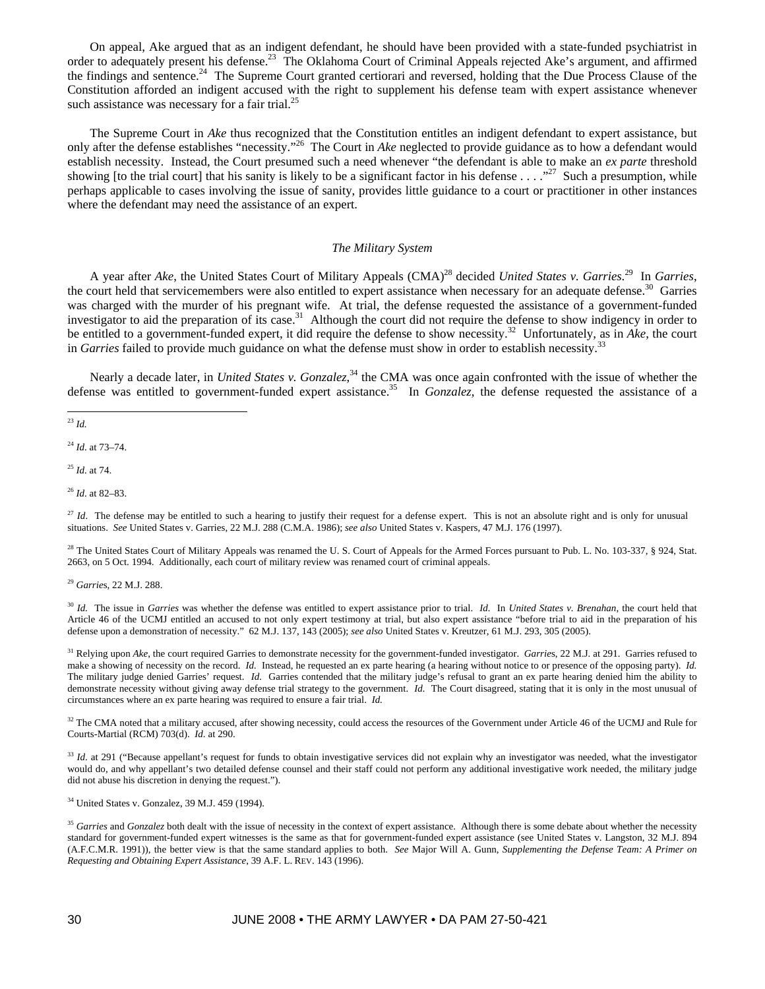On appeal, Ake argued that as an indigent defendant, he should have been provided with a state-funded psychiatrist in order to adequately present his defense.<sup>23</sup> The Oklahoma Court of Criminal Appeals rejected Ake's argument, and affirmed the findings and sentence.<sup>24</sup> The Supreme Court granted certiorari and reversed, holding that the Due Process Clause of the Constitution afforded an indigent accused with the right to supplement his defense team with expert assistance whenever such assistance was necessary for a fair trial.<sup>25</sup>

The Supreme Court in *Ake* thus recognized that the Constitution entitles an indigent defendant to expert assistance, but only after the defense establishes "necessity."26 The Court in *Ake* neglected to provide guidance as to how a defendant would establish necessity. Instead, the Court presumed such a need whenever "the defendant is able to make an *ex parte* threshold showing [to the trial court] that his sanity is likely to be a significant factor in his defense  $\ldots$ ."<sup>27</sup> Such a presumption, while perhaps applicable to cases involving the issue of sanity, provides little guidance to a court or practitioner in other instances where the defendant may need the assistance of an expert.

## *The Military System*

A year after *Ake*, the United States Court of Military Appeals (CMA)<sup>28</sup> decided *United States v. Garries*.<sup>29</sup> In *Garries*, the court held that servicemembers were also entitled to expert assistance when necessary for an adequate defense.<sup>30</sup> Garries was charged with the murder of his pregnant wife. At trial, the defense requested the assistance of a government-funded investigator to aid the preparation of its case.<sup>31</sup> Although the court did not require the defense to show indigency in order to be entitled to a government-funded expert, it did require the defense to show necessity.32 Unfortunately, as in *Ake*, the court in *Garries* failed to provide much guidance on what the defense must show in order to establish necessity.<sup>33</sup>

Nearly a decade later, in *United States v. Gonzalez*, 34 the CMA was once again confronted with the issue of whether the defense was entitled to government-funded expert assistance.<sup>35</sup> In *Gonzalez*, the defense requested the assistance of a

<sup>24</sup> *Id*. at 73–74.

<sup>25</sup> *Id*. at 74.

<sup>26</sup> *Id*. at 82–83.

<sup>27</sup> *Id*. The defense may be entitled to such a hearing to justify their request for a defense expert. This is not an absolute right and is only for unusual situations. *See* United States v. Garries, 22 M.J. 288 (C.M.A. 1986); *see also* United States v. Kaspers, 47 M.J. 176 (1997).

<sup>28</sup> The United States Court of Military Appeals was renamed the U. S. Court of Appeals for the Armed Forces pursuant to Pub. L. No. 103-337, § 924, Stat. 2663, on 5 Oct. 1994. Additionally, each court of military review was renamed court of criminal appeals.

<sup>29</sup> *Garrie*s, 22 M.J. 288.

<sup>30</sup> *Id.* The issue in *Garries* was whether the defense was entitled to expert assistance prior to trial. *Id.* In *United States v. Brenahan*, the court held that Article 46 of the UCMJ entitled an accused to not only expert testimony at trial, but also expert assistance "before trial to aid in the preparation of his defense upon a demonstration of necessity." 62 M.J. 137, 143 (2005); *see also* United States v. Kreutzer, 61 M.J. 293, 305 (2005).

<sup>31</sup> Relying upon *Ake*, the court required Garries to demonstrate necessity for the government-funded investigator. *Garries*, 22 M.J. at 291. Garries refused to make a showing of necessity on the record. *Id.* Instead, he requested an ex parte hearing (a hearing without notice to or presence of the opposing party). *Id.* The military judge denied Garries' request. *Id.* Garries contended that the military judge's refusal to grant an ex parte hearing denied him the ability to demonstrate necessity without giving away defense trial strategy to the government. *Id.* The Court disagreed, stating that it is only in the most unusual of circumstances where an ex parte hearing was required to ensure a fair trial. *Id.*

<sup>32</sup> The CMA noted that a military accused, after showing necessity, could access the resources of the Government under Article 46 of the UCMJ and Rule for Courts-Martial (RCM) 703(d). *Id*. at 290.

<sup>33</sup> Id. at 291 ("Because appellant's request for funds to obtain investigative services did not explain why an investigator was needed, what the investigator would do, and why appellant's two detailed defense counsel and their staff could not perform any additional investigative work needed, the military judge did not abuse his discretion in denying the request.").

<sup>34</sup> United States v. Gonzalez, 39 M.J. 459 (1994).

<sup>35</sup> Garries and Gonzalez both dealt with the issue of necessity in the context of expert assistance. Although there is some debate about whether the necessity standard for government-funded expert witnesses is the same as that for government-funded expert assistance (see United States v. Langston, 32 M.J. 894 (A.F.C.M.R. 1991)), the better view is that the same standard applies to both. *See* Major Will A. Gunn, *Supplementing the Defense Team: A Primer on Requesting and Obtaining Expert Assistance*, 39 A.F. L. REV. 143 (1996).

 $\overline{a}$ <sup>23</sup> *Id.*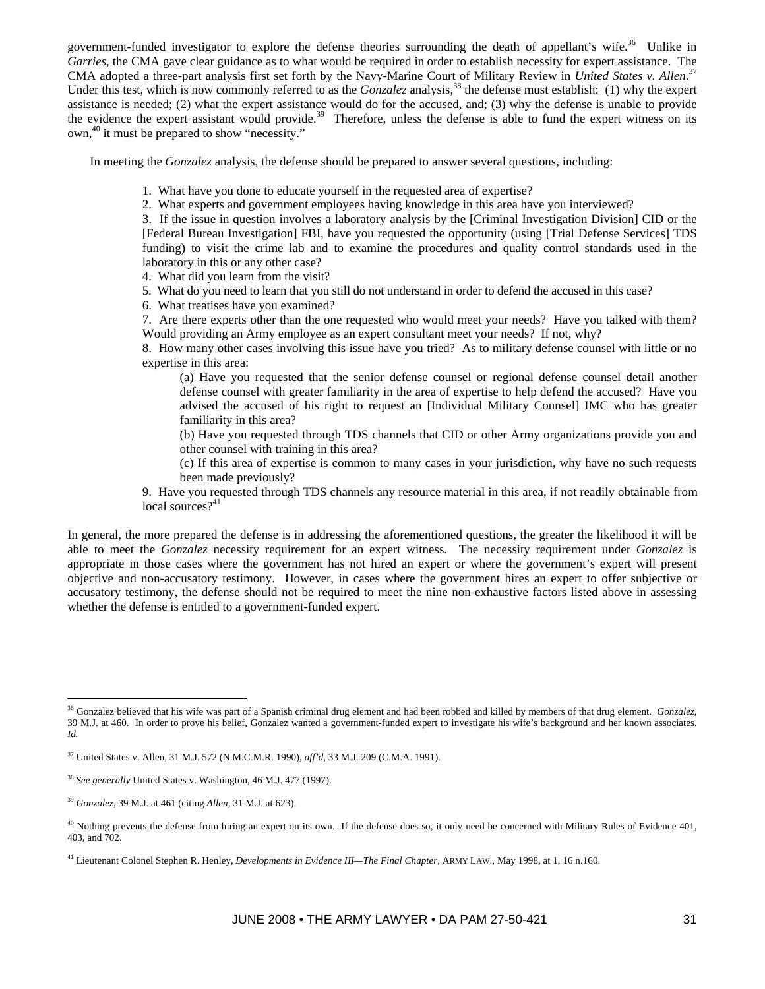government-funded investigator to explore the defense theories surrounding the death of appellant's wife.<sup>36</sup> Unlike in *Garries*, the CMA gave clear guidance as to what would be required in order to establish necessity for expert assistance. The CMA adopted a three-part analysis first set forth by the Navy-Marine Court of Military Review in *United States v. Allen*. 37 Under this test, which is now commonly referred to as the *Gonzalez* analysis,<sup>38</sup> the defense must establish: (1) why the expert assistance is needed; (2) what the expert assistance would do for the accused, and; (3) why the defense is unable to provide the evidence the expert assistant would provide.<sup>39</sup> Therefore, unless the defense is able to fund the expert witness on its own,40 it must be prepared to show "necessity."

In meeting the *Gonzalez* analysis, the defense should be prepared to answer several questions, including:

- 1. What have you done to educate yourself in the requested area of expertise?
- 2. What experts and government employees having knowledge in this area have you interviewed?

3. If the issue in question involves a laboratory analysis by the [Criminal Investigation Division] CID or the [Federal Bureau Investigation] FBI, have you requested the opportunity (using [Trial Defense Services] TDS funding) to visit the crime lab and to examine the procedures and quality control standards used in the laboratory in this or any other case?

- 4. What did you learn from the visit?
- 5. What do you need to learn that you still do not understand in order to defend the accused in this case?
- 6. What treatises have you examined?

7. Are there experts other than the one requested who would meet your needs? Have you talked with them? Would providing an Army employee as an expert consultant meet your needs? If not, why?

8. How many other cases involving this issue have you tried? As to military defense counsel with little or no expertise in this area:

(a) Have you requested that the senior defense counsel or regional defense counsel detail another defense counsel with greater familiarity in the area of expertise to help defend the accused? Have you advised the accused of his right to request an [Individual Military Counsel] IMC who has greater familiarity in this area?

(b) Have you requested through TDS channels that CID or other Army organizations provide you and other counsel with training in this area?

(c) If this area of expertise is common to many cases in your jurisdiction, why have no such requests been made previously?

9. Have you requested through TDS channels any resource material in this area, if not readily obtainable from local sources? $41$ 

In general, the more prepared the defense is in addressing the aforementioned questions, the greater the likelihood it will be able to meet the *Gonzalez* necessity requirement for an expert witness. The necessity requirement under *Gonzalez* is appropriate in those cases where the government has not hired an expert or where the government's expert will present objective and non-accusatory testimony. However, in cases where the government hires an expert to offer subjective or accusatory testimony, the defense should not be required to meet the nine non-exhaustive factors listed above in assessing whether the defense is entitled to a government-funded expert.

 $\overline{a}$ 

<sup>36</sup> Gonzalez believed that his wife was part of a Spanish criminal drug element and had been robbed and killed by members of that drug element. *Gonzalez*, 39 M.J. at 460. In order to prove his belief, Gonzalez wanted a government-funded expert to investigate his wife's background and her known associates. *Id.*

<sup>37</sup> United States v. Allen, 31 M.J. 572 (N.M.C.M.R. 1990), *aff'd*, 33 M.J. 209 (C.M.A. 1991).

<sup>38</sup> *See generally* United States v. Washington, 46 M.J. 477 (1997).

<sup>39</sup> *Gonzalez*, 39 M.J. at 461 (citing *Allen*, 31 M.J. at 623).

 $40$  Nothing prevents the defense from hiring an expert on its own. If the defense does so, it only need be concerned with Military Rules of Evidence 401, 403, and 702.

<sup>41</sup> Lieutenant Colonel Stephen R. Henley, *Developments in Evidence III—The Final Chapter*, ARMY LAW., May 1998, at 1, 16 n.160.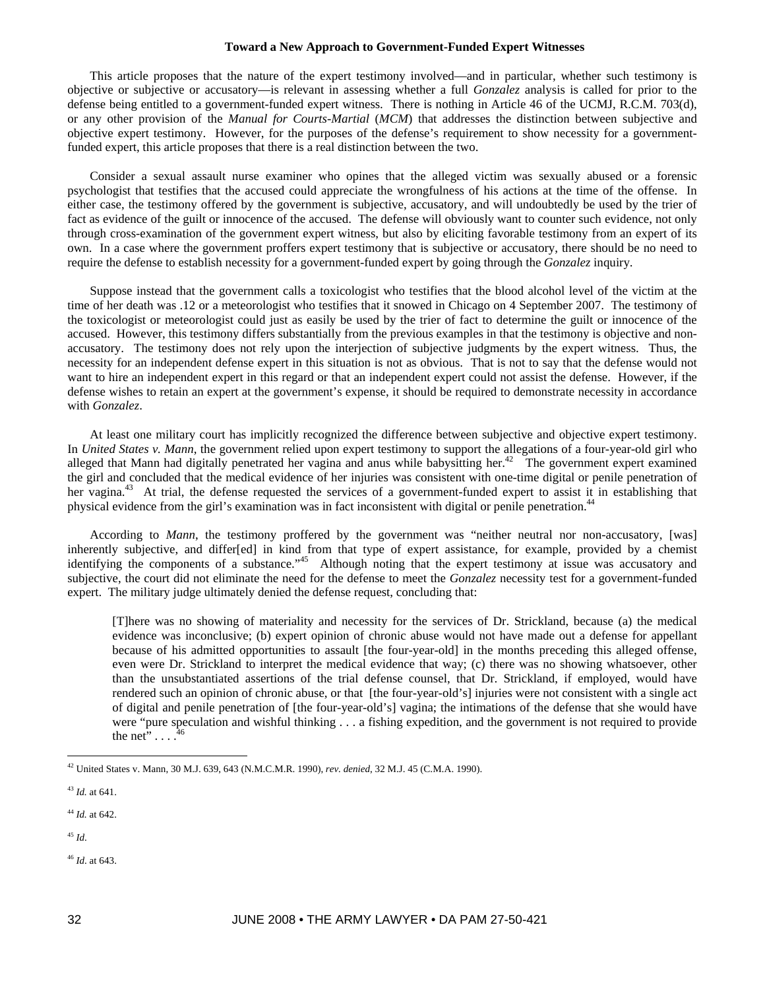#### **Toward a New Approach to Government-Funded Expert Witnesses**

This article proposes that the nature of the expert testimony involved—and in particular, whether such testimony is objective or subjective or accusatory—is relevant in assessing whether a full *Gonzalez* analysis is called for prior to the defense being entitled to a government-funded expert witness. There is nothing in Article 46 of the UCMJ, R.C.M. 703(d), or any other provision of the *Manual for Courts-Martial* (*MCM*) that addresses the distinction between subjective and objective expert testimony. However, for the purposes of the defense's requirement to show necessity for a governmentfunded expert, this article proposes that there is a real distinction between the two.

Consider a sexual assault nurse examiner who opines that the alleged victim was sexually abused or a forensic psychologist that testifies that the accused could appreciate the wrongfulness of his actions at the time of the offense. In either case, the testimony offered by the government is subjective, accusatory, and will undoubtedly be used by the trier of fact as evidence of the guilt or innocence of the accused. The defense will obviously want to counter such evidence, not only through cross-examination of the government expert witness, but also by eliciting favorable testimony from an expert of its own. In a case where the government proffers expert testimony that is subjective or accusatory, there should be no need to require the defense to establish necessity for a government-funded expert by going through the *Gonzalez* inquiry.

Suppose instead that the government calls a toxicologist who testifies that the blood alcohol level of the victim at the time of her death was .12 or a meteorologist who testifies that it snowed in Chicago on 4 September 2007. The testimony of the toxicologist or meteorologist could just as easily be used by the trier of fact to determine the guilt or innocence of the accused. However, this testimony differs substantially from the previous examples in that the testimony is objective and nonaccusatory. The testimony does not rely upon the interjection of subjective judgments by the expert witness. Thus, the necessity for an independent defense expert in this situation is not as obvious. That is not to say that the defense would not want to hire an independent expert in this regard or that an independent expert could not assist the defense. However, if the defense wishes to retain an expert at the government's expense, it should be required to demonstrate necessity in accordance with *Gonzalez*.

At least one military court has implicitly recognized the difference between subjective and objective expert testimony. In *United States v. Mann*, the government relied upon expert testimony to support the allegations of a four-year-old girl who alleged that Mann had digitally penetrated her vagina and anus while babysitting her.<sup>42</sup> The government expert examined the girl and concluded that the medical evidence of her injuries was consistent with one-time digital or penile penetration of her vagina.<sup>43</sup> At trial, the defense requested the services of a government-funded expert to assist it in establishing that physical evidence from the girl's examination was in fact inconsistent with digital or penile penetration.<sup>44</sup>

According to *Mann*, the testimony proffered by the government was "neither neutral nor non-accusatory, [was] inherently subjective, and differ[ed] in kind from that type of expert assistance, for example, provided by a chemist identifying the components of a substance."<sup>45</sup> Although noting that the expert testimony at issue was accusatory and subjective, the court did not eliminate the need for the defense to meet the *Gonzalez* necessity test for a government-funded expert. The military judge ultimately denied the defense request, concluding that:

[T]here was no showing of materiality and necessity for the services of Dr. Strickland, because (a) the medical evidence was inconclusive; (b) expert opinion of chronic abuse would not have made out a defense for appellant because of his admitted opportunities to assault [the four-year-old] in the months preceding this alleged offense, even were Dr. Strickland to interpret the medical evidence that way; (c) there was no showing whatsoever, other than the unsubstantiated assertions of the trial defense counsel, that Dr. Strickland, if employed, would have rendered such an opinion of chronic abuse, or that [the four-year-old's] injuries were not consistent with a single act of digital and penile penetration of [the four-year-old's] vagina; the intimations of the defense that she would have were "pure speculation and wishful thinking . . . a fishing expedition, and the government is not required to provide the net"  $\ldots$ <sup>4</sup>

 $\overline{a}$ 

<sup>42</sup> United States v. Mann, 30 M.J. 639, 643 (N.M.C.M.R. 1990), *rev. denied*, 32 M.J. 45 (C.M.A. 1990).

<sup>43</sup> *Id.* at 641.

<sup>44</sup> *Id.* at 642.

<sup>45</sup> *Id*.

<sup>46</sup> *Id*. at 643.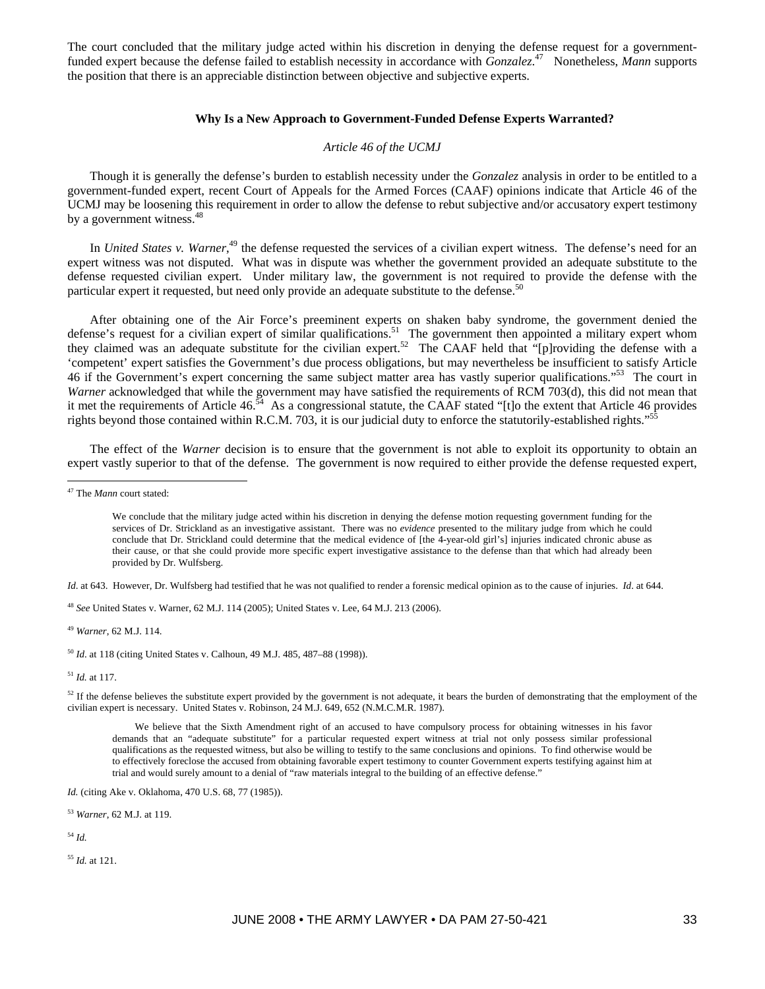The court concluded that the military judge acted within his discretion in denying the defense request for a governmentfunded expert because the defense failed to establish necessity in accordance with *Gonzalez*.<sup>47</sup> Nonetheless, *Mann* supports the position that there is an appreciable distinction between objective and subjective experts.

### **Why Is a New Approach to Government-Funded Defense Experts Warranted?**

## *Article 46 of the UCMJ*

Though it is generally the defense's burden to establish necessity under the *Gonzalez* analysis in order to be entitled to a government-funded expert, recent Court of Appeals for the Armed Forces (CAAF) opinions indicate that Article 46 of the UCMJ may be loosening this requirement in order to allow the defense to rebut subjective and/or accusatory expert testimony by a government witness.<sup>48</sup>

In *United States v. Warner*,<sup>49</sup> the defense requested the services of a civilian expert witness. The defense's need for an expert witness was not disputed. What was in dispute was whether the government provided an adequate substitute to the defense requested civilian expert. Under military law, the government is not required to provide the defense with the particular expert it requested, but need only provide an adequate substitute to the defense.<sup>50</sup>

After obtaining one of the Air Force's preeminent experts on shaken baby syndrome, the government denied the defense's request for a civilian expert of similar qualifications.<sup>51</sup> The government then appointed a military expert whom they claimed was an adequate substitute for the civilian expert.<sup>52</sup> The CAAF held that "[p]roviding the defense with a 'competent' expert satisfies the Government's due process obligations, but may nevertheless be insufficient to satisfy Article 46 if the Government's expert concerning the same subject matter area has vastly superior qualifications."53 The court in *Warner* acknowledged that while the government may have satisfied the requirements of RCM 703(d), this did not mean that it met the requirements of Article  $46.54$  As a congressional statute, the CAAF stated "[t]o the extent that Article 46 provides rights beyond those contained within R.C.M. 703, it is our judicial duty to enforce the statutorily-established rights."

The effect of the *Warner* decision is to ensure that the government is not able to exploit its opportunity to obtain an expert vastly superior to that of the defense. The government is now required to either provide the defense requested expert,

 $\overline{a}$ 

*Id*. at 643. However, Dr. Wulfsberg had testified that he was not qualified to render a forensic medical opinion as to the cause of injuries. *Id*. at 644.

<sup>48</sup> *See* United States v. Warner, 62 M.J. 114 (2005); United States v. Lee, 64 M.J. 213 (2006).

<sup>49</sup> *Warner*, 62 M.J. 114.

<sup>50</sup> *Id*. at 118 (citing United States v. Calhoun, 49 M.J. 485, 487–88 (1998)).

<sup>51</sup> *Id.* at 117.

 $52$  If the defense believes the substitute expert provided by the government is not adequate, it bears the burden of demonstrating that the employment of the civilian expert is necessary. United States v. Robinson, 24 M.J. 649, 652 (N.M.C.M.R. 1987).

We believe that the Sixth Amendment right of an accused to have compulsory process for obtaining witnesses in his favor demands that an "adequate substitute" for a particular requested expert witness at trial not only possess similar professional qualifications as the requested witness, but also be willing to testify to the same conclusions and opinions. To find otherwise would be to effectively foreclose the accused from obtaining favorable expert testimony to counter Government experts testifying against him at trial and would surely amount to a denial of "raw materials integral to the building of an effective defense."

*Id.* (citing Ake v. Oklahoma, 470 U.S. 68, 77 (1985)).

<sup>53</sup> *Warner*, 62 M.J. at 119.

<sup>54</sup> *Id.*

<sup>55</sup> *Id.* at 121.

<sup>47</sup> The *Mann* court stated:

We conclude that the military judge acted within his discretion in denying the defense motion requesting government funding for the services of Dr. Strickland as an investigative assistant. There was no *evidence* presented to the military judge from which he could conclude that Dr. Strickland could determine that the medical evidence of [the 4-year-old girl's] injuries indicated chronic abuse as their cause, or that she could provide more specific expert investigative assistance to the defense than that which had already been provided by Dr. Wulfsberg.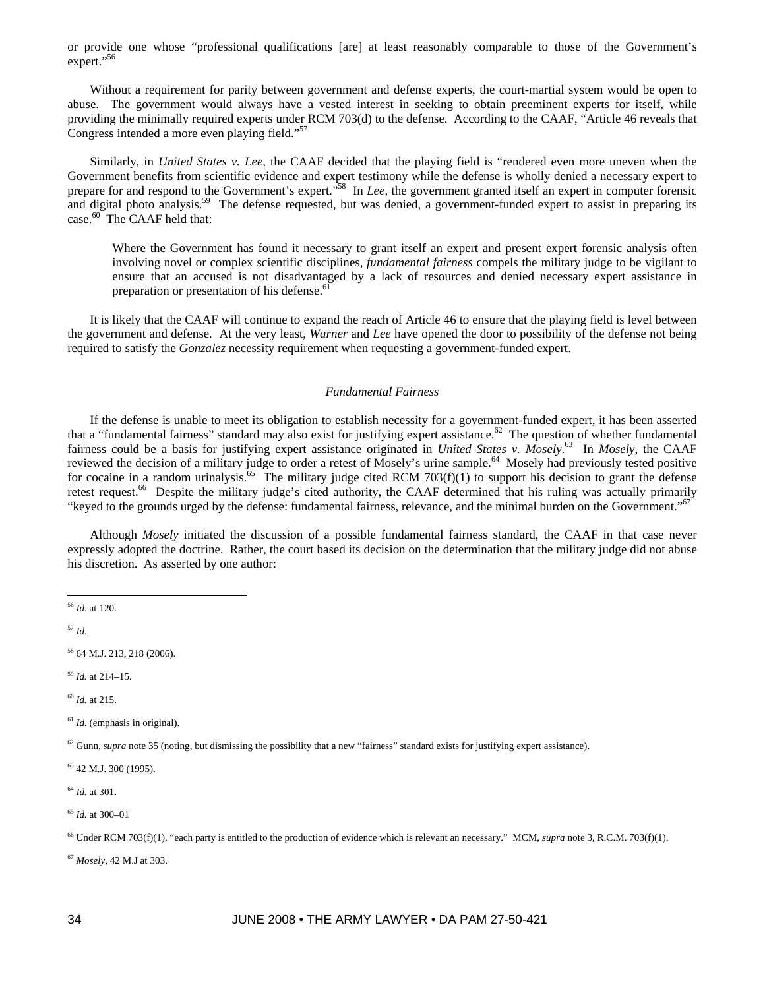or provide one whose "professional qualifications [are] at least reasonably comparable to those of the Government's expert."56

Without a requirement for parity between government and defense experts, the court-martial system would be open to abuse. The government would always have a vested interest in seeking to obtain preeminent experts for itself, while providing the minimally required experts under RCM 703(d) to the defense. According to the CAAF, "Article 46 reveals that Congress intended a more even playing field."57

Similarly, in *United States v. Lee*, the CAAF decided that the playing field is "rendered even more uneven when the Government benefits from scientific evidence and expert testimony while the defense is wholly denied a necessary expert to prepare for and respond to the Government's expert."58 In *Lee*, the government granted itself an expert in computer forensic and digital photo analysis.<sup>59</sup> The defense requested, but was denied, a government-funded expert to assist in preparing its case.<sup>60</sup> The CAAF held that:

Where the Government has found it necessary to grant itself an expert and present expert forensic analysis often involving novel or complex scientific disciplines, *fundamental fairness* compels the military judge to be vigilant to ensure that an accused is not disadvantaged by a lack of resources and denied necessary expert assistance in preparation or presentation of his defense.<sup>6</sup>

It is likely that the CAAF will continue to expand the reach of Article 46 to ensure that the playing field is level between the government and defense. At the very least, *Warner* and *Lee* have opened the door to possibility of the defense not being required to satisfy the *Gonzalez* necessity requirement when requesting a government-funded expert.

## *Fundamental Fairness*

If the defense is unable to meet its obligation to establish necessity for a government-funded expert, it has been asserted that a "fundamental fairness" standard may also exist for justifying expert assistance.<sup>62</sup> The question of whether fundamental fairness could be a basis for justifying expert assistance originated in *United States v. Mosely*.<sup>63</sup> In *Mosely*, the CAAF reviewed the decision of a military judge to order a retest of Mosely's urine sample.<sup>64</sup> Mosely had previously tested positive for cocaine in a random urinalysis.<sup>65</sup> The military judge cited RCM 703(f)(1) to support his decision to grant the defense retest request.<sup>66</sup> Despite the military judge's cited authority, the CAAF determined that his ruling was actually primarily "keyed to the grounds urged by the defense: fundamental fairness, relevance, and the minimal burden on the Government."<sup>67</sup>

Although *Mosely* initiated the discussion of a possible fundamental fairness standard, the CAAF in that case never expressly adopted the doctrine. Rather, the court based its decision on the determination that the military judge did not abuse his discretion. As asserted by one author:

<sup>57</sup> *Id*.

 $\overline{a}$ 

58 64 M.J. 213, 218 (2006).

<sup>59</sup> *Id.* at 214–15.

<sup>60</sup> *Id.* at 215.

<sup>61</sup> *Id.* (emphasis in original).

 $^{62}$  Gunn, *supra* note 35 (noting, but dismissing the possibility that a new "fairness" standard exists for justifying expert assistance).

63 42 M.J. 300 (1995).

<sup>64</sup> *Id.* at 301.

<sup>65</sup> *Id.* at 300–01

<sup>66</sup> Under RCM 703(f)(1), "each party is entitled to the production of evidence which is relevant an necessary." MCM, *supra* note 3, R.C.M. 703(f)(1).

<sup>67</sup> *Mosely*, 42 M.J at 303.

<sup>56</sup> *Id*. at 120.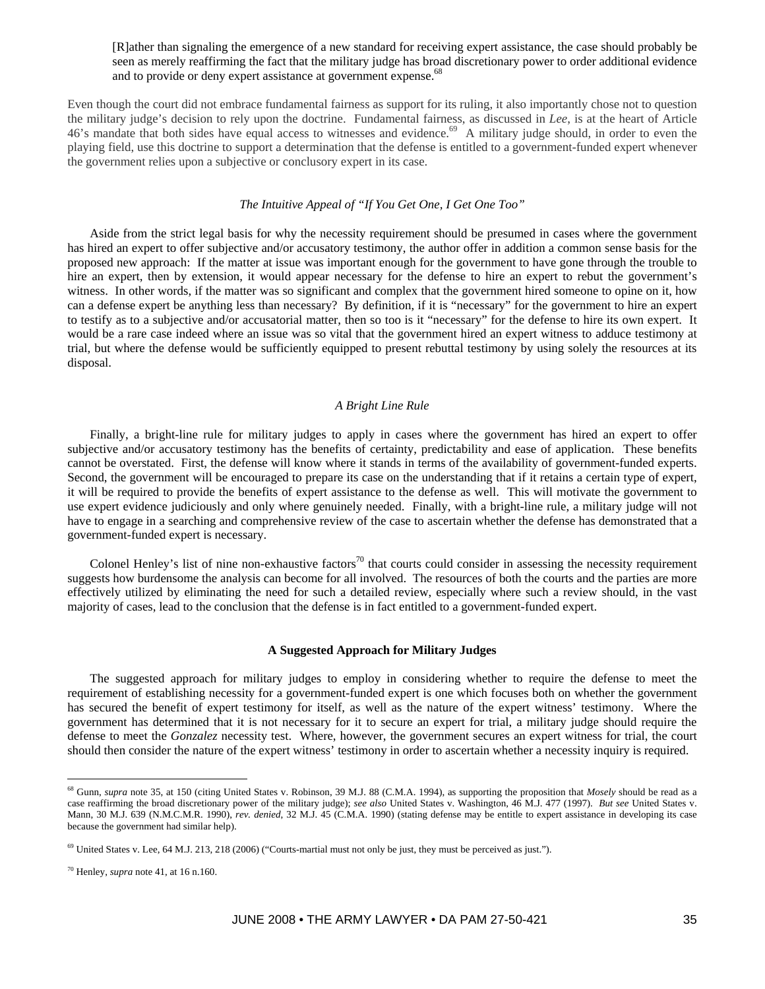[R]ather than signaling the emergence of a new standard for receiving expert assistance, the case should probably be seen as merely reaffirming the fact that the military judge has broad discretionary power to order additional evidence and to provide or deny expert assistance at government expense.<sup>68</sup>

Even though the court did not embrace fundamental fairness as support for its ruling, it also importantly chose not to question the military judge's decision to rely upon the doctrine. Fundamental fairness, as discussed in *Lee*, is at the heart of Article 46's mandate that both sides have equal access to witnesses and evidence.<sup>69</sup> A military judge should, in order to even the playing field, use this doctrine to support a determination that the defense is entitled to a government-funded expert whenever the government relies upon a subjective or conclusory expert in its case.

# *The Intuitive Appeal of "If You Get One, I Get One Too"*

Aside from the strict legal basis for why the necessity requirement should be presumed in cases where the government has hired an expert to offer subjective and/or accusatory testimony, the author offer in addition a common sense basis for the proposed new approach: If the matter at issue was important enough for the government to have gone through the trouble to hire an expert, then by extension, it would appear necessary for the defense to hire an expert to rebut the government's witness. In other words, if the matter was so significant and complex that the government hired someone to opine on it, how can a defense expert be anything less than necessary? By definition, if it is "necessary" for the government to hire an expert to testify as to a subjective and/or accusatorial matter, then so too is it "necessary" for the defense to hire its own expert. It would be a rare case indeed where an issue was so vital that the government hired an expert witness to adduce testimony at trial, but where the defense would be sufficiently equipped to present rebuttal testimony by using solely the resources at its disposal.

## *A Bright Line Rule*

Finally, a bright-line rule for military judges to apply in cases where the government has hired an expert to offer subjective and/or accusatory testimony has the benefits of certainty, predictability and ease of application. These benefits cannot be overstated. First, the defense will know where it stands in terms of the availability of government-funded experts. Second, the government will be encouraged to prepare its case on the understanding that if it retains a certain type of expert, it will be required to provide the benefits of expert assistance to the defense as well. This will motivate the government to use expert evidence judiciously and only where genuinely needed. Finally, with a bright-line rule, a military judge will not have to engage in a searching and comprehensive review of the case to ascertain whether the defense has demonstrated that a government-funded expert is necessary.

Colonel Henley's list of nine non-exhaustive factors<sup>70</sup> that courts could consider in assessing the necessity requirement suggests how burdensome the analysis can become for all involved. The resources of both the courts and the parties are more effectively utilized by eliminating the need for such a detailed review, especially where such a review should, in the vast majority of cases, lead to the conclusion that the defense is in fact entitled to a government-funded expert.

#### **A Suggested Approach for Military Judges**

The suggested approach for military judges to employ in considering whether to require the defense to meet the requirement of establishing necessity for a government-funded expert is one which focuses both on whether the government has secured the benefit of expert testimony for itself, as well as the nature of the expert witness' testimony. Where the government has determined that it is not necessary for it to secure an expert for trial, a military judge should require the defense to meet the *Gonzalez* necessity test. Where, however, the government secures an expert witness for trial, the court should then consider the nature of the expert witness' testimony in order to ascertain whether a necessity inquiry is required.

 $\overline{a}$ 

<sup>68</sup> Gunn, *supra* note 35, at 150 (citing United States v. Robinson, 39 M.J. 88 (C.M.A. 1994), as supporting the proposition that *Mosely* should be read as a case reaffirming the broad discretionary power of the military judge); *see also* United States v. Washington, 46 M.J. 477 (1997). *But see* United States v. Mann, 30 M.J. 639 (N.M.C.M.R. 1990), *rev. denied*, 32 M.J. 45 (C.M.A. 1990) (stating defense may be entitle to expert assistance in developing its case because the government had similar help).

 $^{69}$  United States v. Lee, 64 M.J. 213, 218 (2006) ("Courts-martial must not only be just, they must be perceived as just.").

<sup>70</sup> Henley, *supra* note 41, at 16 n.160.